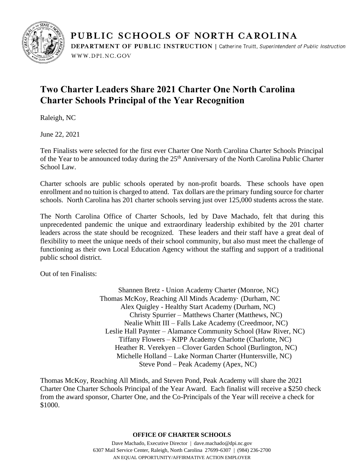

PUBLIC SCHOOLS OF NORTH CAROLINA DEPARTMENT OF PUBLIC INSTRUCTION | Catherine Truitt, Superintendent of Public Instruction WWW.DPI.NC.GOV

## **Two Charter Leaders Share 2021 Charter One North Carolina Charter Schools Principal of the Year Recognition**

Raleigh, NC

June 22, 2021

Ten Finalists were selected for the first ever Charter One North Carolina Charter Schools Principal of the Year to be announced today during the 25<sup>th</sup> Anniversary of the North Carolina Public Charter School Law.

Charter schools are public schools operated by non-profit boards. These schools have open enrollment and no tuition is charged to attend. Tax dollars are the primary funding source for charter schools. North Carolina has 201 charter schools serving just over 125,000 students across the state.

The North Carolina Office of Charter Schools, led by Dave Machado, felt that during this unprecedented pandemic the unique and extraordinary leadership exhibited by the 201 charter leaders across the state should be recognized. These leaders and their staff have a great deal of flexibility to meet the unique needs of their school community, but also must meet the challenge of functioning as their own Local Education Agency without the staffing and support of a traditional public school district.

Out of ten Finalists:

Shannen Bretz - Union Academy Charter (Monroe, NC) Thomas McKoy, Reaching All Minds Academy· (Durham, NC Alex Quigley - Healthy Start Academy (Durham, NC) Christy Spurrier – Matthews Charter (Matthews, NC) Nealie Whitt III – Falls Lake Academy (Creedmoor, NC) Leslie Hall Paynter – Alamance Community School (Haw River, NC) Tiffany Flowers – KIPP Academy Charlotte (Charlotte, NC) Heather R. Verekyen – Clover Garden School (Burlington, NC) Michelle Holland – Lake Norman Charter (Huntersville, NC) Steve Pond – Peak Academy (Apex, NC)

Thomas McKoy, Reaching All Minds, and Steven Pond, Peak Academy will share the 2021 Charter One Charter Schools Principal of the Year Award. Each finalist will receive a \$250 check from the award sponsor, Charter One, and the Co-Principals of the Year will receive a check for \$1000.

## **OFFICE OF CHARTER SCHOOLS**

Dave Machado, Executive Director | dave.machado@dpi.nc.gov 6307 Mail Service Center, Raleigh, North Carolina 27699-6307 | (984) 236-2700 AN EQUAL OPPORTUNITY/AFFIRMATIVE ACTION EMPLOYER